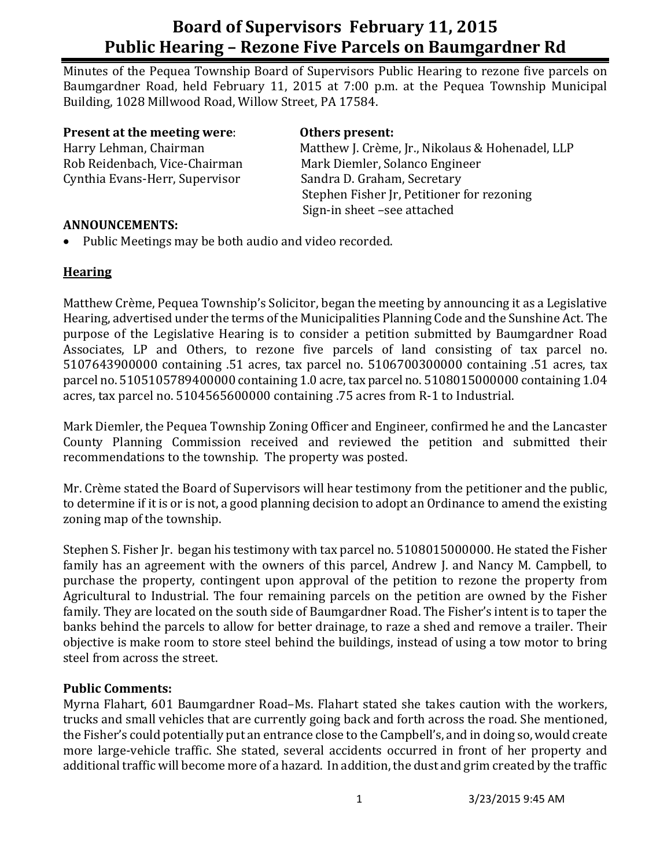# **Board of Supervisors February 11, 2015 Public Hearing – Rezone Five Parcels on Baumgardner Rd**

Minutes of the Pequea Township Board of Supervisors Public Hearing to rezone five parcels on Baumgardner Road, held February 11, 2015 at 7:00 p.m. at the Pequea Township Municipal Building, 1028 Millwood Road, Willow Street, PA 17584.

**Present at the meeting were**: **Others present:** Harry Lehman, Chairman Matthew J. Crème, Jr., Nikolaus & Hohenadel, LLP Rob Reidenbach, Vice-Chairman Mark Diemler, Solanco Engineer Cynthia Evans-Herr, Supervisor Sandra D. Graham, Secretary

Stephen Fisher Jr, Petitioner for rezoning Sign-in sheet –see attached

#### **ANNOUNCEMENTS:**

• Public Meetings may be both audio and video recorded.

### **Hearing**

Matthew Crème, Pequea Township's Solicitor, began the meeting by announcing it as a Legislative Hearing, advertised under the terms of the Municipalities Planning Code and the Sunshine Act. The purpose of the Legislative Hearing is to consider a petition submitted by Baumgardner Road Associates, LP and Others, to rezone five parcels of land consisting of tax parcel no. 5107643900000 containing .51 acres, tax parcel no. 5106700300000 containing .51 acres, tax parcel no. 5105105789400000 containing 1.0 acre, tax parcel no. 5108015000000 containing 1.04 acres, tax parcel no. 5104565600000 containing .75 acres from R-1 to Industrial.

Mark Diemler, the Pequea Township Zoning Officer and Engineer, confirmed he and the Lancaster County Planning Commission received and reviewed the petition and submitted their recommendations to the township. The property was posted.

Mr. Crème stated the Board of Supervisors will hear testimony from the petitioner and the public, to determine if it is or is not, a good planning decision to adopt an Ordinance to amend the existing zoning map of the township.

Stephen S. Fisher Jr. began his testimony with tax parcel no. 5108015000000. He stated the Fisher family has an agreement with the owners of this parcel, Andrew J. and Nancy M. Campbell, to purchase the property, contingent upon approval of the petition to rezone the property from Agricultural to Industrial. The four remaining parcels on the petition are owned by the Fisher family. They are located on the south side of Baumgardner Road. The Fisher's intent is to taper the banks behind the parcels to allow for better drainage, to raze a shed and remove a trailer. Their objective is make room to store steel behind the buildings, instead of using a tow motor to bring steel from across the street.

### **Public Comments:**

Myrna Flahart, 601 Baumgardner Road–Ms. Flahart stated she takes caution with the workers, trucks and small vehicles that are currently going back and forth across the road. She mentioned, the Fisher's could potentially put an entrance close to the Campbell's, and in doing so, would create more large-vehicle traffic. She stated, several accidents occurred in front of her property and additional traffic will become more of a hazard. In addition, the dust and grim created by the traffic